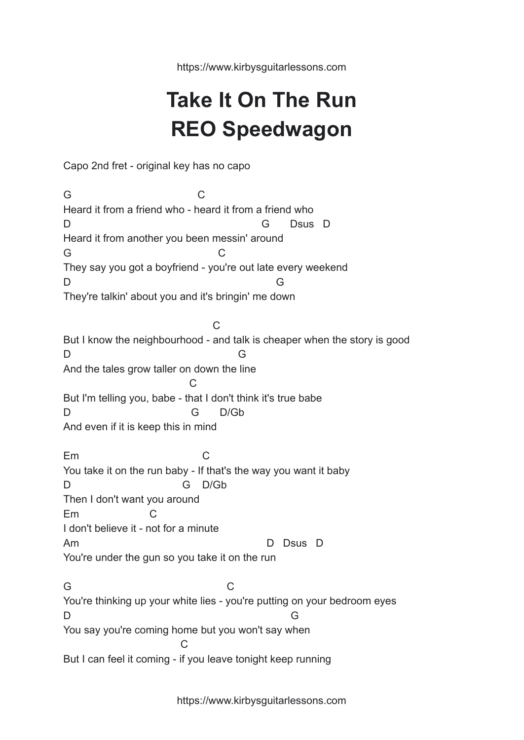https://www.kirbysguitarlessons.com

## **Take It On The Run REO Speedwagon**

Capo 2nd fret - original key has no capo

G C Heard it from a friend who - heard it from a friend who D G Dsus D Heard it from another you been messin' around G C They say you got a boyfriend - you're out late every weekend D G They're talkin' about you and it's bringin' me down  $\overline{C}$ But I know the neighbourhood - and talk is cheaper when the story is good D G And the tales grow taller on down the line C But I'm telling you, babe - that I don't think it's true babe D G D/Gb And even if it is keep this in mind Em C You take it on the run baby - If that's the way you want it baby D G D/Gb Then I don't want you around Em C I don't believe it - not for a minute Am D Dsus D You're under the gun so you take it on the run G C You're thinking up your white lies - you're putting on your bedroom eyes D G You say you're coming home but you won't say when C But I can feel it coming - if you leave tonight keep running

https://www.kirbysguitarlessons.com